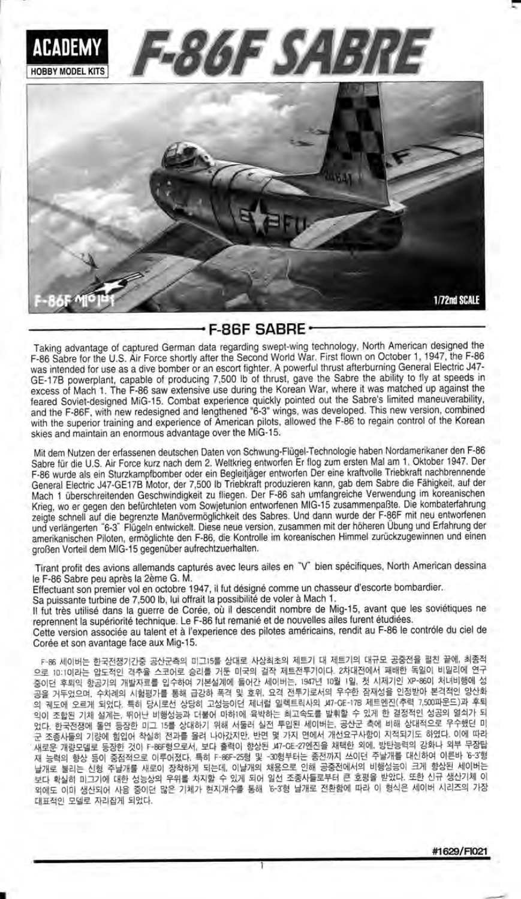

## F-86F SABRE

Taking advantage of captured German data regarding swept-wing technology, North American designed the F-86 Sabre for the U.S. Air Force shortly after the Second World War. First flown on October 1, 1947, the F-86 was intended for use as a dive bomber or an escort fighter. A powerful thrust afterburning General Electric J47-GE-178 powerplant, capable of producing 7,500 lb of thrust, gavelhe Sabre lhe ability to fly at speeds in excess oi Mach 1. The F-86 saw extensive use during the Korean War, where it was matched up against the feared Soviet-designed MiG-15. Combat experience quickly pointed out the Sabre's limited maneuverability, and the F-86F, with new redesigned and lengthened "6-3" wings, was developed. This new version, combined with the superior training and experience of American pilots, allowed the F-86 to regain control of the Korean skies and maintain an enormous advantage over the MiG-15

Mit dem Nutzen der erfassenen deutschen Daten von Schwung-Flugel-Technologie haben Nordamerikaner den F-86 Sabre für die U.S. Air Force kurz nach dem 2. Weltkrieg entworfen Er flog zum ersten Mal am 1. Oktober 1947. Der F-86 wurde als ein Sturzkampfbomber oder ein Begleitjäger entworfen Der eine kraftvolle Triebkraft nachbrennende General Electric J47-GE17B Motor, der 7,500 lb Triebkrafi produzieren kann, gab dem Sabre die Fahigkeit, auf der Mach 1 überschreitenden Geschwindigkeit zu fliegen. Der F-86 sah umfangreiche Verwendung im koreanischen Krieg, wo er gegen den befürchteten vom Sowjetunion entworfenen MIG-15 zusammenpaßte. Die kombaterfahrung zeigte schnell auf die begrenzte Manövermöglichkeit des Sabres. Und dann wurde der F-86F mit neu entworfenen und verlängerten "6-3" Flügeln entwickelt. Diese neue version, zusammen mit der höheren Übung und Erfahrung der amerikanischen Piloten, ermöglichte den F-86, die Kontrolle im koreanischen Himmel zurückzugewinnen und einen großen Vorteil dem MIG-15 gegenüber aufrechtzuerhalten.

Tirant profit des avions allemands capturés avec leurs ailes en "V" bien spécifiques, North American dessina le F-86 Sabre peu après la 2ème G. M.

Effectuant son premier vol en octobre 1947, il fut désigné comme un chasseur d'escorte bombardier.

Sa puissante turbine de 7,500 lb, lui offrait la possibilité de voler à Mach 1.

Il fut très utilisé dans la guerre de Corée, où il descendit nombre de Mig-15, avant que les soviétiques ne reprennent la supériorité technique. Le F-86 fut remanié et de nouvelles ailes furent étudiées.

Cette version associée au talent et à l'experience des pilotes américains, rendit au F-86 le contrôle du ciel de Corée et son avantage face aux Mig-15.

F-86 세이버는 한국전쟁기간중 공산군측의 미그15를 상대로 사상최초의 제트기 대 제트기의 대규모 공중전을 펼친 끝에, 최종적<br>로 10:10[라는 안도전이 결추용 스코어로 슬리를 거둔 미국의 결작 제트전투기이다. 2차대전에서 패배한 독일이 비밀리에 연구 - P-86 세이버는 한국한증가단층 승규한국의 하드라를 공하고 자유 국내 트전투기이다. 2차대전에서 패배한 독일이 비밀리에 연구<br>으로 10:1이라는 압도적인 객수율 수 코어로 승리를 내게에 들어가 내어버는 194개 12월 19일 원 내게기의 VB-95이 친 배해에 선 =ol.J +Elq a=7lel rHg^fe= "J+5fol 7lE€xl0ll =ol7J ^1lol4=, 1e47Ll l0g 19, tr ^lr]l7lfl xP-8601 ilLlBl-doll ! 공을 거두었으며, 수차례의 시험평가를 통해 급강하 폭격 및 호위, 요격 전투기로서의 우수한 잠재성을 인정받아 본격적인 양산화<br>의 궤도에 오르게 되었다. 특히 당시로선 상당히 고성능이던 제너럴 일렉트릭사의 #7-CE-17B 제트엔진(추력 7,500파운드)과 후퇴 의이 조합된 기체 설계는, 뛰어난 비행성능과 더불어 마하!에 육박하는 최고속도를 발휘할 수 있게 한 결정적인 성공의 열쇠가 되 국어 '프로그' PM" 로그로는 TAP, 그 15를 상대하기 위해 서둘러 실전 투입된 세이버는, 공산군 측에 비해 상대적으로 우수했던 미<br>었다. 한국전쟁에 돌연 등장한 미그 15를 상대하기 위해 서둘러 실전 투입된 세이버는, 공산군 측에 비해 상대적으로 우수했던 미<br>군 조종사들의 기량에 힘입어 착실히 전과를 올려 나아갔지만, 반면 몇 가지 면에서 개선요구사항이 지적되기도 하였다. 이에 따라 사를의 기능에 넓납이 극불이 단각을 들어 되어갔더라. 한산된 것으로는 인구하는 개혁한 외에, 방탄능력의 강화나 외부 무장탑<br>개량모델로 등장한 것이 단양만형으로서, 보다 줄력이 향상된 비구35\*1만 27에진을 채택한 외에, 방탄능력의 강화나 외부 무장탑 에서 능력의 향상 등이 중심적으로 이루어졌다. 특히 F-86F-25형 및 -30형부터는 종전까지 쓰이던 주날개를 대신하여 이른바 '6-3'형<br>재 능력의 향상 등이 중점적으로 이루어졌다. 특히 F-86F-25형 및 -30형부터는 종전까지 쓰이던 주날개를 대신하여 이른바 '6-3'형<br>남개로 북리는 신형 주날개를 새로이 장착하게 되는데, 이날개의 채용으로 인해 공중전에서의 비행성능이 크게 향상된 세 남개로 불리는 신형 주날개를 새로이 장착하게 되는데, 이날개의 채용으로 인해 공중전에서의 비행성능이 크게 향상된 세이버는 보다 확실히 미그기에 대한 성능상의 우위를 차지할 수 있게 되어 일선 조종사들로부터 큰 호평을 받았다. 또한 신규 생산기체 이 소나 그를 이 버스되어 사용 중이던 많은 기체가 현지개수를 통해 '6-3'형 날개로 전환함에 따라 이 형식은 세이버 시리즈의 가장<br>외에도 이미 생산되어 사용 중이던 많은 기체가 현지개수를 통해 '6-3'형 날개로 전환함에 따라 이 형식은 세이버 시리즈의 가장<br>대표적인 모델로 자리잡게 되었다. 대표적인 모델로 자리잡게 되었다.<br>-

I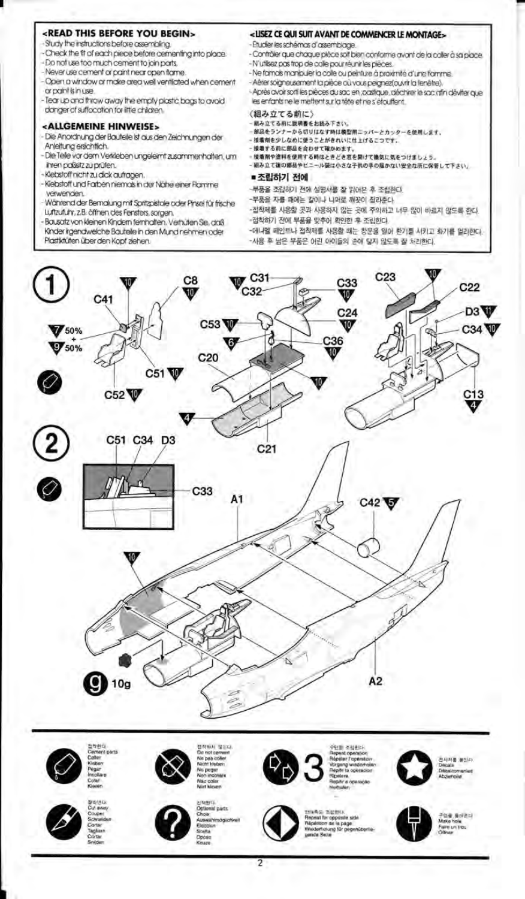#### <READ THIS BEFORE YOU BEGIN>

- Study the instructions before assembling.
- Check the fit of each piece before cementing into place. Do not use too much cement to join parts.
- Never use cement or paint near onen fame
- Open a window or make area well ventilated when cement
- or paint is in use.
- Tear up and throw away the empty plastic bags to avoid danger of suffocation for little children.

### <ALLGEMEINE HINWEISE>

- Die Anordnung der Bauteile ist aus den Zeichnungen der Anleitung ersichtlich.
- Die Teile vor dem Verkleben ungeleimt zusammenhalten, um ihren paßsitz zu prüfen.
- Klebstoff nicht zu dick aufragen.
- Kiebstoff und Farben niemals in der Nähe einer Flamme verwenden.
- Während der Bernalung mit Spritzpistale oder Pinsel für frische Luftzufuhr, z.B. öffnen des Fensters, sorgen
- Bausatz von kleinen Kindern fernhalten. Verhüten Sie, daß
- Kinder irgendwelche Bauteile in den Mund nehmen oder Plastiktüten über den Kopf ziehen.

## <ISEZ CE QUI SUIT AVANT DE COMMENCER LE MONTAGE>

- Etudier les schémas d'assemblage.
- Contrôler que chaque pièce soit bien conforme avant de la caller à sa place. - N'utilisez pas trop de colle pour réunir les pièces.
- Ne famais manipuler la colle ou peinture à proximité d'une flamme.
- Aérer solgneusement la pièce où vous peignez(ouvrir la fenétre).

- Après avoir sorti les pièces du sac en jocstique, déchirer le sac rifin déviter que les enfants ne le mettent sur la tête et ne s'étouffent.

#### (組み立てる前に)

- 超み立てる前に説明書をお読み下さい。
- 解品をランナーから切りはなす時は機型用ニッパーとカッターを使用します。
- 接着剤を少しなめに使うことがきれいに仕上げるこつです。
- 接着する前に部品を合わせて確かめます。
- 提着剤や塗料を使用する時はときどき窓を開けて換気に気をつけましょう。 組み立て後の郷品やビニール袋は小さな子供の手の届かない安全な所に保管して下さい。
- 조립하기 전에
- 
- -부품을 조립하기 전에 설명서를 잘 읽어본 후 조립한다. -부품을 자를 때에는 칼이나 니퍼로 깨끗이 잘라준다.
- 
- -접착제를 사용할 곳과 사용하지 않는 곳에 주의하고 너무 많이 바르지 않도록 하다. -접착하기 전에 부품을 맞추어 확인한 후 조립한다.
- -애나멜 페인트나 접착재를 사용할 때는 창문을 일어 환기를 시키고 화기를 멀리한다.
- 사용 후 남은 부품은 어린 아이들의 손에 닿지 않도록 잘 처리한다.













2





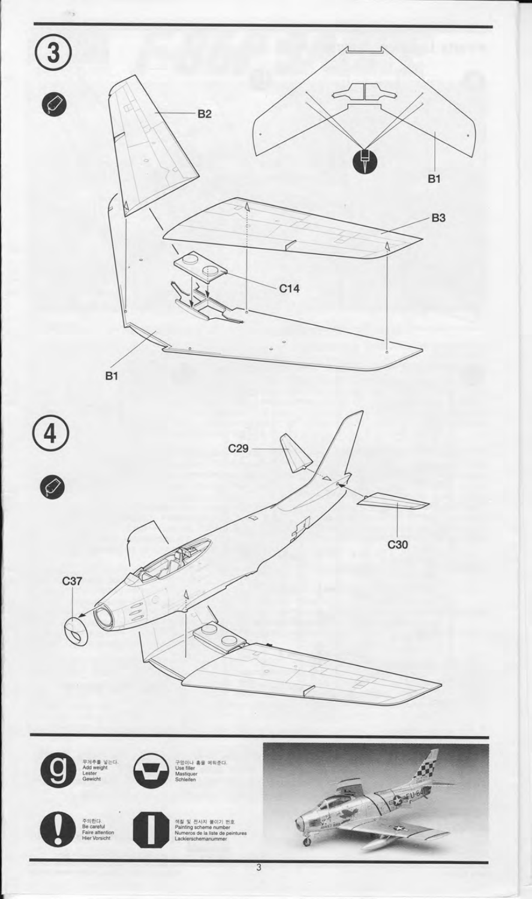



- 1



전사지 불이기 번호  $\mathbb{R}$ s de la lis

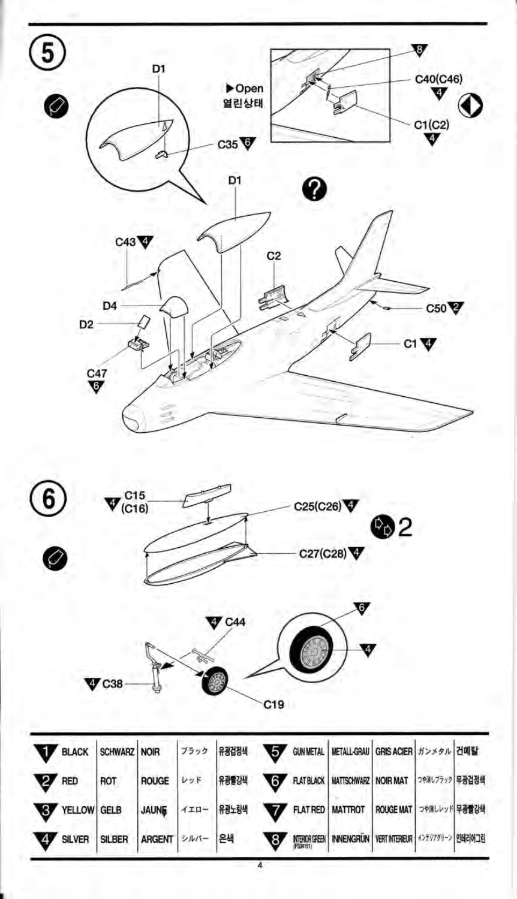| $\left(5\right)$ |                                     | D1            |        |              |                |                   |                    |                      | V                                                    |  |
|------------------|-------------------------------------|---------------|--------|--------------|----------------|-------------------|--------------------|----------------------|------------------------------------------------------|--|
| $\bullet$        |                                     |               |        | Dpen<br>열린상태 |                |                   |                    |                      | C40(C46)<br>v<br>$\overset{\mathrm{C1(C2)}}{\nabla}$ |  |
|                  |                                     |               |        | C35<br>D1    |                | 3                 |                    |                      |                                                      |  |
|                  | C43                                 |               |        |              | C <sub>2</sub> |                   |                    |                      |                                                      |  |
|                  | D4                                  |               |        |              |                |                   |                    |                      | C50                                                  |  |
| D <sub>2</sub>   |                                     |               |        |              |                |                   |                    | C1                   | 4                                                    |  |
|                  | $\overset{C47}{\blacktriangledown}$ |               |        |              |                |                   |                    |                      |                                                      |  |
|                  |                                     |               |        |              |                |                   |                    |                      |                                                      |  |
|                  |                                     |               |        |              |                |                   |                    |                      |                                                      |  |
| 6                | , C15<br>(C16)                      |               |        |              |                | C25(C26)          |                    |                      |                                                      |  |
| Ø                |                                     |               |        |              |                |                   | C27(C28)           | <b>©</b> 2           |                                                      |  |
|                  |                                     |               |        |              |                |                   | v                  |                      |                                                      |  |
|                  |                                     | $\Rightarrow$ |        | $\nabla$ C44 |                | 53                |                    |                      |                                                      |  |
|                  | $\nabla$ C38                        |               |        |              | C19            |                   |                    |                      |                                                      |  |
| <b>BLACK</b>     | <b>SCHWARZ</b>                      | <b>NOIR</b>   | ブラック   | 유광검정색        | 5              | <b>GUN METAL</b>  | <b>METALL-GRAU</b> | GRIS ACIER ガンメタル 건매탈 |                                                      |  |
| RED              | ROT                                 | <b>ROUGE</b>  | レッド    | 유광빨강색        | 6              | <b>FLAT BLACK</b> | <b>MATTSCHWARZ</b> | <b>NOIR MAT</b>      | <b>つや消しブラック 무관검정색</b>                                |  |
| <b>YELLOW</b>    | GELB                                | <b>JAUNE</b>  | $410-$ | 유광노랑색        |                | <b>FLAT RED</b>   | <b>MATTROT</b>     | <b>ROUGE MAT</b>     | つや消しレッド 早啓雪강색                                        |  |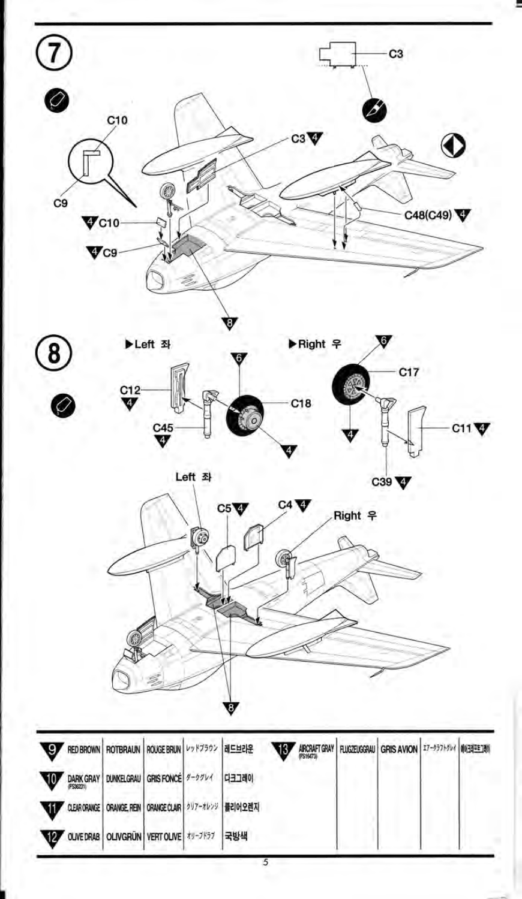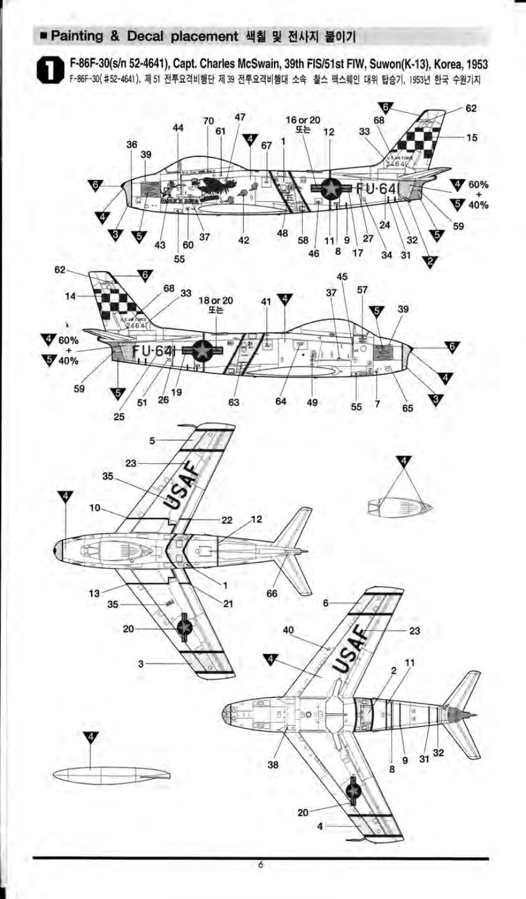# ■ Painting & Decal placement 색칠 및 전사지 불이기

F-86F-30(s/n 52-4641), Capt. Charles McSwain, 39th FIS/51st FIW, Suwon(K-13), Korea, 1953 F-86F-30(#52-4641), 제 51 전투요격비행단 제 39 전투요격비행대 소속 찰스 맥스웨인 대위 탑승기, 1953년 한국 수원기지

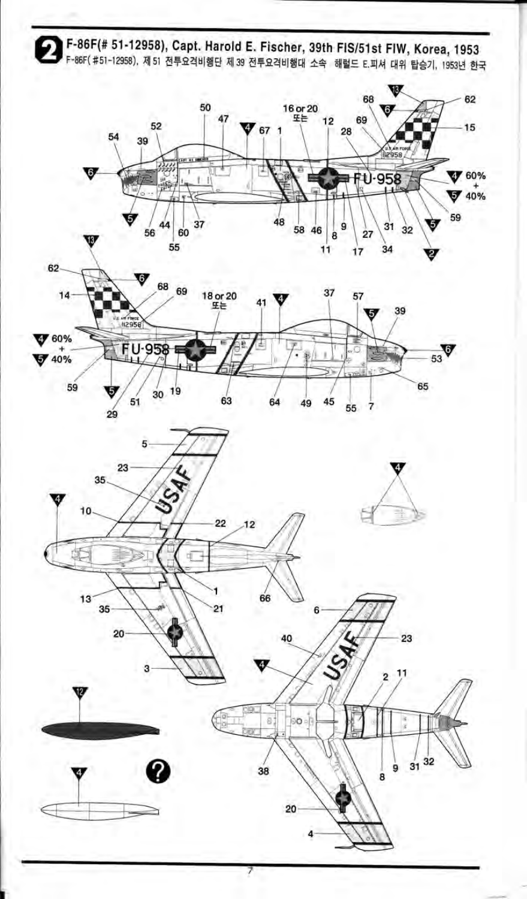F-86F(# 51-12958), Capt. Harold E. Fischer, 39th FIS/51st FIW, Korea, 1953 F-86F(#51-12958), 제 51 전투요격비행단 제 39 전투요격비행대 소속 해럴드 E.피셔 대위 탑승기, 1953년 한국 W or 20<br> $\pm\pm$ U.  $\sigma$ <sub>67</sub> **V** 60% **FU-958**  $740%$ G 58 46 G)